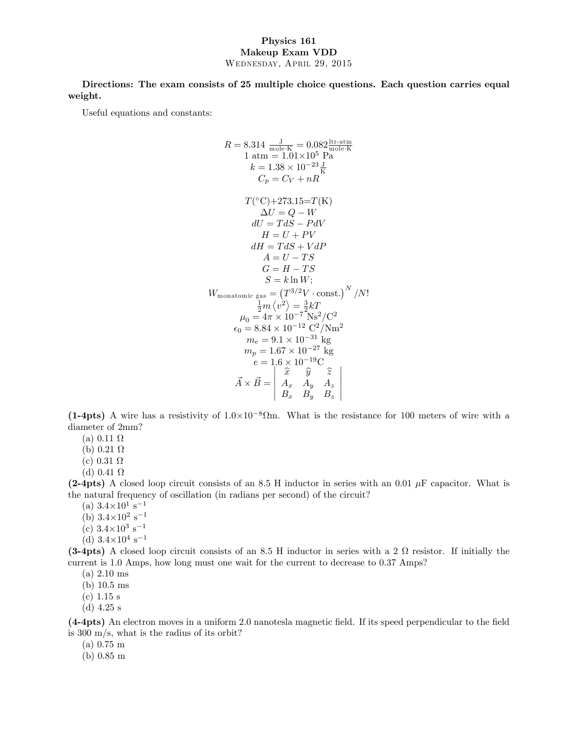## Physics 161 Makeup Exam VDD Wednesday, April 29, 2015

Directions: The exam consists of 25 multiple choice questions. Each question carries equal weight.

Useful equations and constants:

$$
R = 8.314 \frac{J}{\text{mole-K}} = 0.082 \frac{\text{itr-atm}}{\text{mole-K}}
$$
  
\n1 atm = 1.01×10<sup>5</sup> Pa  
\n $k = 1.38 \times 10^{-23} \frac{J}{\text{K}}$   
\n $C_p = C_V + nR$   
\n $T(^{\circ}C) + 273.15 = T(K)$   
\n $\Delta U = Q - W$   
\n $dU = TdS - PdV$   
\n $H = U + PV$   
\n $dH = TdS + VdP$   
\n $A = U - TS$   
\n $G = H - TS$   
\n $S = k \ln W$ ;  
\n $W_{\text{monatomic gas}} = (T^{3/2}V \cdot \text{const.})^N / N!$   
\n $\frac{1}{2}m \langle v^2 \rangle = \frac{3}{2}kT$   
\n $\mu_0 = 4\pi \times 10^{-7} \text{ Ns}^2/\text{C}^2$   
\n $\epsilon_0 = 8.84 \times 10^{-12} \text{ C}^2/\text{Nm}^2$   
\n $m_e = 9.1 \times 10^{-31} \text{ kg}$   
\n $m_p = 1.67 \times 10^{-27} \text{ kg}$   
\n $e = 1.6 \times 10^{-19} \text{C}$   
\n $\vec{A} \times \vec{B} = \begin{vmatrix} \hat{x} & \hat{y} & \hat{z} \\ A_x & A_y & A_z \\ B_x & B_y & B_z \end{vmatrix}$ 

(1-4pts) A wire has a resistivity of  $1.0 \times 10^{-8} \Omega$ m. What is the resistance for 100 meters of wire with a diameter of 2mm?

- (a)  $0.11 \Omega$
- (b)  $0.21 \Omega$
- (c)  $0.31 \Omega$
- (d)  $0.41 \Omega$

(2-4pts) A closed loop circuit consists of an 8.5 H inductor in series with an 0.01  $\mu$ F capacitor. What is the natural frequency of oscillation (in radians per second) of the circuit?

(a)  $3.4 \times 10^1$  s<sup>-1</sup>

- (b)  $3.4\times10^2$  s<sup>-1</sup>
- (c)  $3.4 \times 10^3$  s<sup>-1</sup>
- (d)  $3.4\times10^4$  s<sup>-1</sup>

(3-4pts) A closed loop circuit consists of an 8.5 H inductor in series with a 2  $\Omega$  resistor. If initially the current is 1.0 Amps, how long must one wait for the current to decrease to 0.37 Amps?

- (a) 2.10 ms
- (b) 10.5 ms
- (c) 1.15 s
- (d) 4.25 s

(4-4pts) An electron moves in a uniform 2.0 nanotesla magnetic Öeld. If its speed perpendicular to the Öeld is 300 m/s, what is the radius of its orbit?

(a) 0.75 m

(b) 0.85 m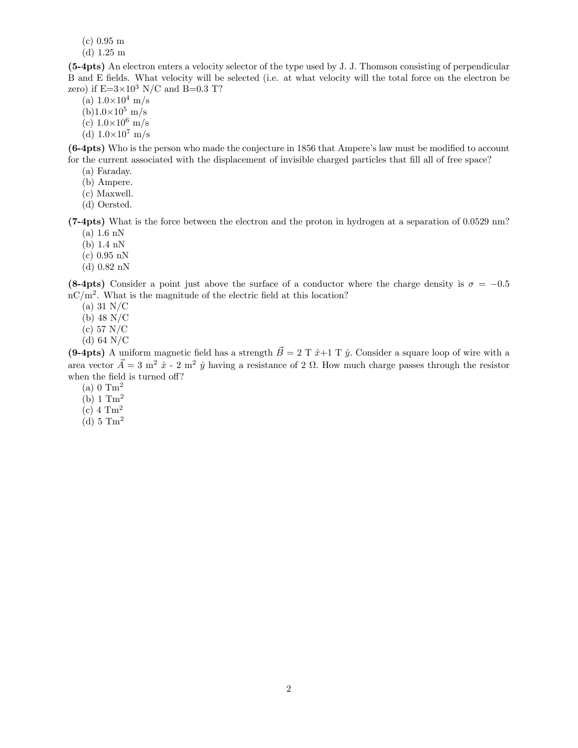(c) 0.95 m

(d) 1.25 m

(5-4pts) An electron enters a velocity selector of the type used by J. J. Thomson consisting of perpendicular B and E Öelds. What velocity will be selected (i.e. at what velocity will the total force on the electron be zero) if  $E=3\times10^3$  N/C and B=0.3 T?

- (a)  $1.0\times10^4$  m/s
- $(b)1.0\times10^{5}$  m/s
- (c)  $1.0\times10^6$  m/s
- (d)  $1.0 \times 10^7$  m/s

(6-4pts) Who is the person who made the conjecture in 1856 that Ampere's law must be modified to account for the current associated with the displacement of invisible charged particles that fill all of free space?

- (a) Faraday.
- (b) Ampere.
- (c) Maxwell.
- (d) Oersted.

(7-4pts) What is the force between the electron and the proton in hydrogen at a separation of 0.0529 nm?  $(a)$  1.6 nN

- (b)  $1.4 \text{ nN}$
- $(c)$  0.95 nN
- (d) 0:82 nN

(8-4pts) Consider a point just above the surface of a conductor where the charge density is  $\sigma = -0.5$  $\mathrm{nC/m^2}$ . What is the magnitude of the electric field at this location?

- (a) 31 N/C
- (b) 48 N/C
- (c) 57 N/C
- (d) 64 N/C

(9-4pts) A uniform magnetic field has a strength  $\vec{B} = 2$  T  $\hat{x}+1$  T  $\hat{y}$ . Consider a square loop of wire with a area vector  $\vec{A} = 3$  m<sup>2</sup>  $\hat{x}$  - 2 m<sup>2</sup>  $\hat{y}$  having a resistance of 2  $\Omega$ . How much charge passes through the resistor when the field is turned off?

- $(a)$  0 Tm<sup>2</sup>
- $(b)$  1  $Tm<sup>2</sup>$
- $(c)$  4  $Tm<sup>2</sup>$
- (d)  $5 \text{ Tm}^2$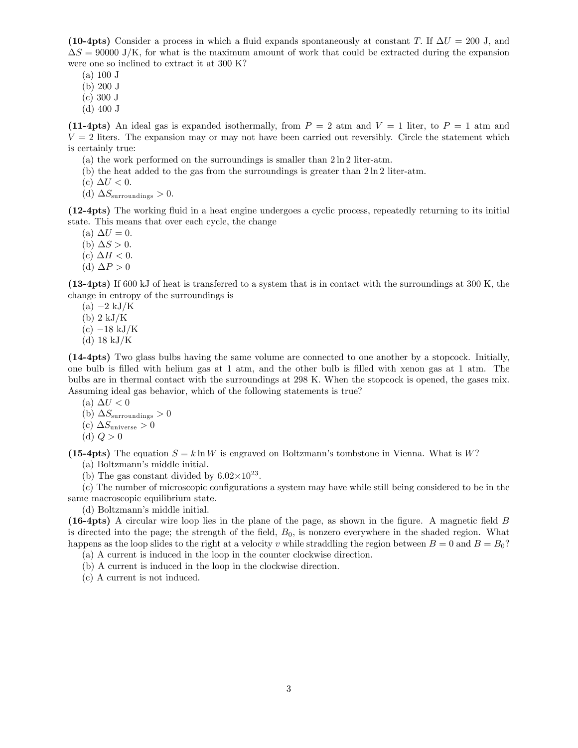(10-4pts) Consider a process in which a fluid expands spontaneously at constant T. If  $\Delta U = 200$  J, and  $\Delta S = 90000$  J/K, for what is the maximum amount of work that could be extracted during the expansion were one so inclined to extract it at 300 K?

 $(a) 100$  J

(b) 200 J

(c) 300 J

(d) 400 J

(11-4pts) An ideal gas is expanded isothermally, from  $P = 2$  atm and  $V = 1$  liter, to  $P = 1$  atm and  $V = 2$  liters. The expansion may or may not have been carried out reversibly. Circle the statement which is certainly true:

- (a) the work performed on the surroundings is smaller than 2 ln 2 liter-atm.
- (b) the heat added to the gas from the surroundings is greater than  $2 \ln 2$  liter-atm.
- (c)  $\Delta U < 0$ .
- (d)  $\Delta S_{\text{surroundings}} > 0.$

(12-4pts) The working áuid in a heat engine undergoes a cyclic process, repeatedly returning to its initial state. This means that over each cycle, the change

- (a)  $\Delta U = 0$ .
- (b)  $\Delta S > 0$ .
- (c)  $\Delta H < 0$ .
- (d)  $\Delta P > 0$

(13-4pts) If 600 kJ of heat is transferred to a system that is in contact with the surroundings at 300 K, the change in entropy of the surroundings is

- $(a) -2 kJ/K$
- (b) 2 kJ/K
- $(c) -18 kJ/K$
- (d) 18 kJ/K

(14-4pts) Two glass bulbs having the same volume are connected to one another by a stopcock. Initially, one bulb is Ölled with helium gas at 1 atm, and the other bulb is Ölled with xenon gas at 1 atm. The bulbs are in thermal contact with the surroundings at 298 K. When the stopcock is opened, the gases mix. Assuming ideal gas behavior, which of the following statements is true?

- (a)  $\Delta U < 0$
- (b)  $\Delta S_{\text{surroundings}} > 0$
- (c)  $\Delta S_{\text{universe}} > 0$
- (d)  $Q > 0$

(15-4pts) The equation  $S = k \ln W$  is engraved on Boltzmann's tombstone in Vienna. What is W? (a) Boltzmann's middle initial.

(b) The gas constant divided by  $6.02 \times 10^{23}$ .

(c) The number of microscopic configurations a system may have while still being considered to be in the same macroscopic equilibrium state.

(d) Boltzmann's middle initial.

(16-4pts) A circular wire loop lies in the plane of the page, as shown in the Ögure. A magnetic Öeld B is directed into the page; the strength of the field,  $B_0$ , is nonzero everywhere in the shaded region. What happens as the loop slides to the right at a velocity v while straddling the region between  $B = 0$  and  $B = B_0$ ?

(a) A current is induced in the loop in the counter clockwise direction.

(b) A current is induced in the loop in the clockwise direction.

(c) A current is not induced.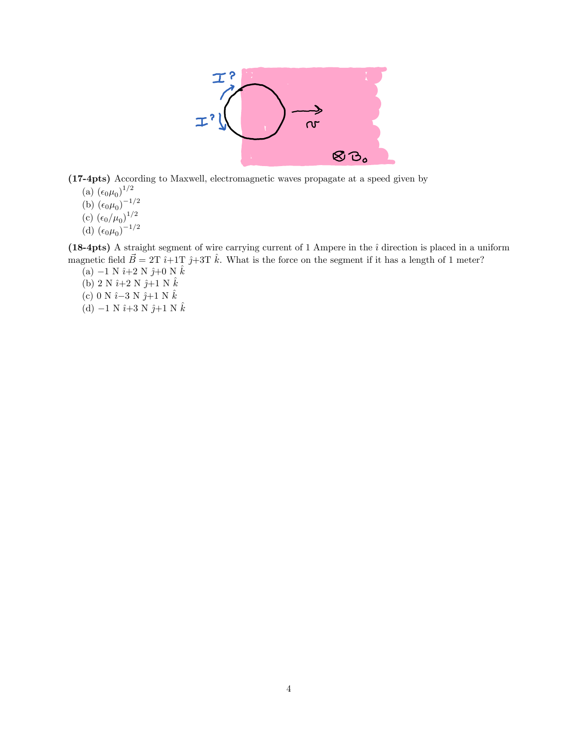

(17-4pts) According to Maxwell, electromagnetic waves propagate at a speed given by

(a)  $(\epsilon_0 \mu_0)^{1/2}$ 

- (b)  $(\epsilon_0 \mu_0)^{-1/2}$
- (c)  $(\epsilon_0/\mu_0)^{1/2}$
- (d)  $(\epsilon_0 \mu_0)^{-1/2}$

(18-4pts) A straight segment of wire carrying current of 1 Ampere in the  $\hat{i}$  direction is placed in a uniform magnetic field  $\vec{B} = 2T \hat{i} + 1T \hat{j} + 3T \hat{k}$ . What is the force on the segment if it has a length of 1 meter?

- (a)  $-1$  N  $\hat{\imath}{+2}$  N  $\hat{\jmath}{+0}$  N  $\hat{k}$ (b) 2 N  $\hat{i}+2$  N  $\hat{j}+1$  N  $\hat{k}$ (c) 0 N  $\hat{i}$  –3 N  $\hat{j}$ +1 N  $\hat{k}$
- (d)  $-1$  N  $\hat{i}+3$  N  $\hat{j}+1$  N  $\hat{k}$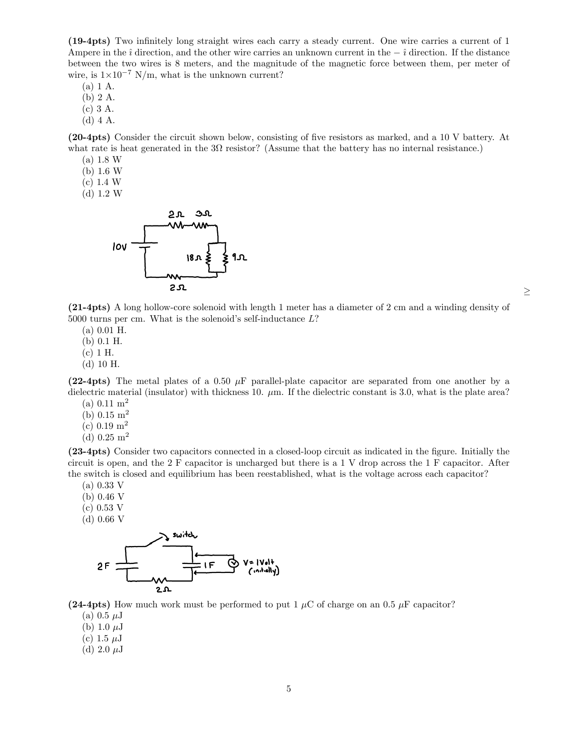(19-4pts) Two inÖnitely long straight wires each carry a steady current. One wire carries a current of 1 Ampere in the  $\hat{i}$  direction, and the other wire carries an unknown current in the  $-\hat{i}$  direction. If the distance between the two wires is 8 meters, and the magnitude of the magnetic force between them, per meter of wire, is  $1 \times 10^{-7}$  N/m, what is the unknown current?

(a) 1 A.

(b) 2 A.

(c) 3 A.

(d) 4 A.

(20-4pts) Consider the circuit shown below, consisting of Öve resistors as marked, and a 10 V battery. At what rate is heat generated in the  $3\Omega$  resistor? (Assume that the battery has no internal resistance.)

- $(a) 1.8 W$
- $(b)$  1.6 W
- $(c)$  1.4 W
- $(d)$  1.2 W



(21-4pts) A long hollow-core solenoid with length 1 meter has a diameter of 2 cm and a winding density of 5000 turns per cm. What is the solenoid's self-inductance  $L$ ?

 $\geq$ 

 $(a) 0.01$  H.

(b) 0:1 H.

- (c) 1 H.
- (d) 10 H.

(22-4pts) The metal plates of a 0.50  $\mu$ F parallel-plate capacitor are separated from one another by a dielectric material (insulator) with thickness 10.  $\mu$ m. If the dielectric constant is 3.0, what is the plate area?

- (a)  $0.11 \text{ m}^2$
- (b)  $0.15 \text{ m}^2$
- (c)  $0.19 \text{ m}^2$
- (d)  $0.25 \text{ m}^2$

(23-4pts) Consider two capacitors connected in a closed-loop circuit as indicated in the Ögure. Initially the circuit is open, and the 2 F capacitor is uncharged but there is a 1 V drop across the 1 F capacitor. After the switch is closed and equilibrium has been reestablished, what is the voltage across each capacitor?

- (a) 0.33 V
- (b) 0.46 V
- (c) 0.53 V
- (d) 0.66 V



(24-4pts) How much work must be performed to put 1  $\mu$ C of charge on an 0.5  $\mu$ F capacitor?

- (a)  $0.5 \mu J$
- (b) 1.0  $\mu$ J
- (c) 1.5  $\mu$ J
- (d) 2.0  $\mu$ J